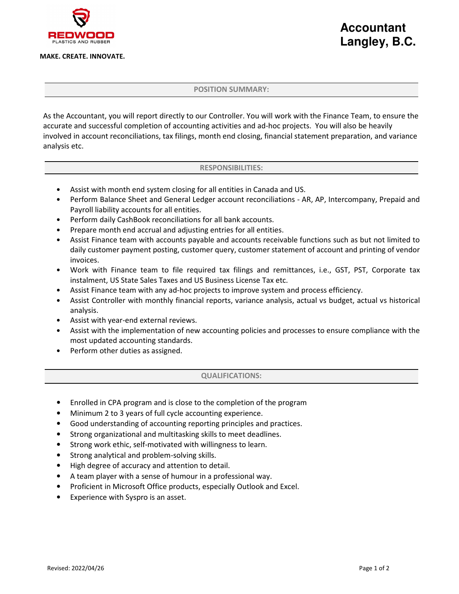## MAKE. CREATE. INNOVATE.

# **Accountant Langley, B.C.**

## POSITION SUMMARY:

As the Accountant, you will report directly to our Controller. You will work with the Finance Team, to ensure the accurate and successful completion of accounting activities and ad-hoc projects. You will also be heavily involved in account reconciliations, tax filings, month end closing, financial statement preparation, and variance analysis etc.

#### RESPONSIBILITIES:

- Assist with month end system closing for all entities in Canada and US.
- Perform Balance Sheet and General Ledger account reconciliations AR, AP, Intercompany, Prepaid and Payroll liability accounts for all entities.
- Perform daily CashBook reconciliations for all bank accounts.
- Prepare month end accrual and adjusting entries for all entities.
- Assist Finance team with accounts payable and accounts receivable functions such as but not limited to daily customer payment posting, customer query, customer statement of account and printing of vendor invoices.
- Work with Finance team to file required tax filings and remittances, i.e., GST, PST, Corporate tax instalment, US State Sales Taxes and US Business License Tax etc.
- Assist Finance team with any ad-hoc projects to improve system and process efficiency.
- Assist Controller with monthly financial reports, variance analysis, actual vs budget, actual vs historical analysis.
- Assist with year-end external reviews.
- Assist with the implementation of new accounting policies and processes to ensure compliance with the most updated accounting standards.
- Perform other duties as assigned.

### QUALIFICATIONS:

- Enrolled in CPA program and is close to the completion of the program
- Minimum 2 to 3 years of full cycle accounting experience.
- Good understanding of accounting reporting principles and practices.
- Strong organizational and multitasking skills to meet deadlines.
- Strong work ethic, self-motivated with willingness to learn.
- Strong analytical and problem-solving skills.
- High degree of accuracy and attention to detail.
- A team player with a sense of humour in a professional way.
- Proficient in Microsoft Office products, especially Outlook and Excel.
- Experience with Syspro is an asset.